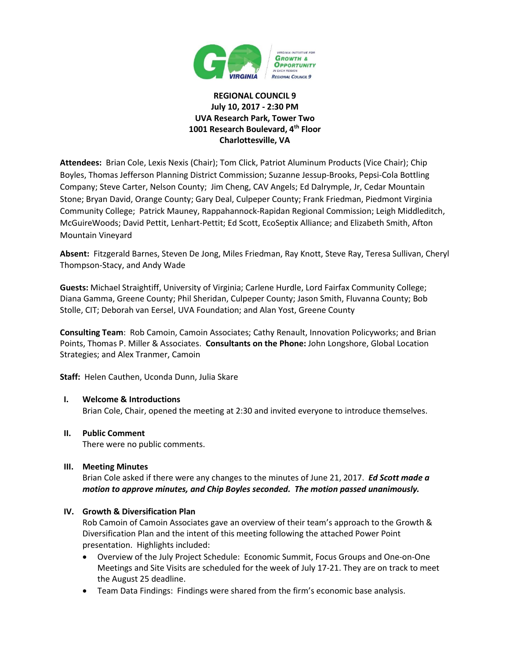

# **REGIONAL COUNCIL 9 July 10, 2017 - 2:30 PM UVA Research Park, Tower Two 1001 Research Boulevard, 4th Floor Charlottesville, VA**

**Attendees:** Brian Cole, Lexis Nexis (Chair); Tom Click, Patriot Aluminum Products (Vice Chair); Chip Boyles, Thomas Jefferson Planning District Commission; Suzanne Jessup-Brooks, Pepsi-Cola Bottling Company; Steve Carter, Nelson County; Jim Cheng, CAV Angels; Ed Dalrymple, Jr, Cedar Mountain Stone; Bryan David, Orange County; Gary Deal, Culpeper County; Frank Friedman, Piedmont Virginia Community College; Patrick Mauney, Rappahannock-Rapidan Regional Commission; Leigh Middleditch, McGuireWoods; David Pettit, Lenhart-Pettit; Ed Scott, EcoSeptix Alliance; and Elizabeth Smith, Afton Mountain Vineyard

**Absent:** Fitzgerald Barnes, Steven De Jong, Miles Friedman, Ray Knott, Steve Ray, Teresa Sullivan, Cheryl Thompson-Stacy, and Andy Wade

**Guests:** Michael Straightiff, University of Virginia; Carlene Hurdle, Lord Fairfax Community College; Diana Gamma, Greene County; Phil Sheridan, Culpeper County; Jason Smith, Fluvanna County; Bob Stolle, CIT; Deborah van Eersel, UVA Foundation; and Alan Yost, Greene County

**Consulting Team**: Rob Camoin, Camoin Associates; Cathy Renault, Innovation Policyworks; and Brian Points, Thomas P. Miller & Associates. **Consultants on the Phone:** John Longshore, Global Location Strategies; and Alex Tranmer, Camoin

**Staff:** Helen Cauthen, Uconda Dunn, Julia Skare

# **I. Welcome & Introductions**

Brian Cole, Chair, opened the meeting at 2:30 and invited everyone to introduce themselves.

#### **II. Public Comment**

There were no public comments.

# **III. Meeting Minutes**

Brian Cole asked if there were any changes to the minutes of June 21, 2017. *Ed Scott made a motion to approve minutes, and Chip Boyles seconded. The motion passed unanimously.* 

# **IV. Growth & Diversification Plan**

Rob Camoin of Camoin Associates gave an overview of their team's approach to the Growth & Diversification Plan and the intent of this meeting following the attached Power Point presentation. Highlights included:

- Overview of the July Project Schedule: Economic Summit, Focus Groups and One-on-One Meetings and Site Visits are scheduled for the week of July 17-21. They are on track to meet the August 25 deadline.
- Team Data Findings: Findings were shared from the firm's economic base analysis.